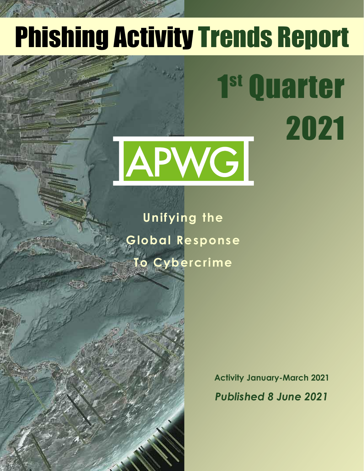# Phishing Activity Trends Report

1

Quarter

2021

# APWG

**Unifying the Global Response To Cybercrime**

Table of Contents of Contents of Contents of Contents of Contents of Contents of Contents of Contents of Contents of Contents of Contents of Contents of Contents of Contents of Contents of Contents of Contents of Contents

**Statistical Highlights for 2nd Quarter 2017 32 and 2nd Quarter 2017 32 and 2017 32 Phishing E-mail Phishing Site Trends 44 (Phishing Site Trends 44) Brand-Domain Pairs Measurement Pairs Measurement Pairs Measurement Pairs Measurement Pairs Measurement Pairs Measurement Pairs Measurement Pairs Measurement Pairs Measurement Pairs Measurement Pairs Measurement Pairs Meas** 

**E-mail Phishing Attacks 6** Use of Domain Names for Phishing *1999* **Phishing and Identity Theft in Brazil 10-11 Most Targeted Industry Sectors 12 APWG Phishing Trends Report Contributors 13**

**Brands & Legitimate Entities Hijacked by** 

**Activity January-March 2021** *Published 8 June 2021*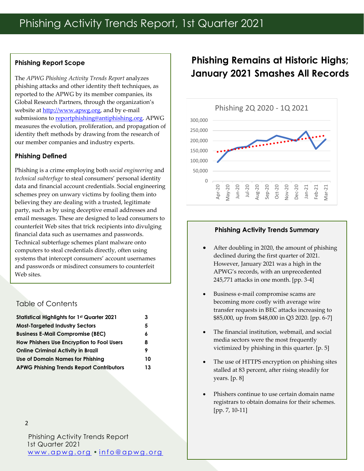#### **Phishing Report Scope**

The *APWG Phishing Activity Trends Report* analyzes phishing attacks and other identity theft techniques, as reported to the APWG by its member companies, its Global Research Partners, through the organization's website at [http://www.apwg.org,](http://www.apwg.org/) and by e-mail submissions to [reportphishing@antiphishing.org.](mailto:reportphishing@antiphishing.org) APWG measures the evolution, proliferation, and propagation of identity theft methods by drawing from the research of our member companies and industry experts.

#### **Phishing Defined**

Phishing is a crime employing both *social engineering* and *technical subterfuge* to steal consumers' personal identity data and financial account credentials. Social engineering schemes prey on unwary victims by fooling them into believing they are dealing with a trusted, legitimate party, such as by using deceptive email addresses and email messages. These are designed to lead consumers to counterfeit Web sites that trick recipients into divulging financial data such as usernames and passwords. Technical subterfuge schemes plant malware onto computers to steal credentials directly, often using systems that intercept consumers' account usernames and passwords or misdirect consumers to counterfeit Web sites.

#### Table of Contents

| 3  |
|----|
| 5  |
| 6  |
| 8  |
| 9  |
| 10 |
| 13 |
|    |

Phishing Activity Trends Report 1st Quarter 2021 [w w w . a p w g . o r g](http://www.apwg.org/) • [i n f o @ a p w g . o r g](mailto:info@apwg.org)

## **Phishing Remains at Historic Highs; January 2021 Smashes All Records**



#### **Phishing Activity Trends Summary**

- After doubling in 2020, the amount of phishing declined during the first quarter of 2021. However, January 2021 was a high in the APWG's records, with an unprecedented 245,771 attacks in one month. [pp. 3-4]
- Business e-mail compromise scams are becoming more costly with average wire transfer requests in BEC attacks increasing to \$85,000, up from \$48,000 in Q3 2020. [pp. 6-7]
- The financial institution, webmail, and social media sectors were the most frequently victimized by phishing in this quarter. [p. 5]
- The use of HTTPS encryption on phishing sites stalled at 83 percent, after rising steadily for years. [p. 8]
- Phishers continue to use certain domain name registrars to obtain domains for their schemes. [pp. 7, 10-11]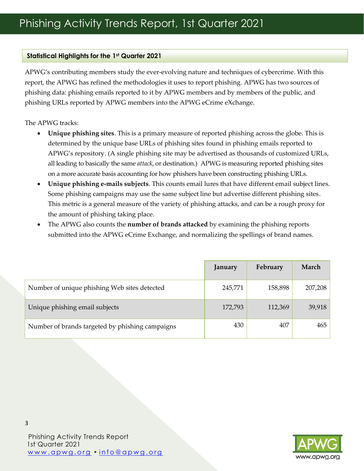#### **Statistical Highlights for the 1st Quarter 2021**

APWG's contributing members study the ever-evolving nature and techniques of cybercrime. With this report, the APWG has refined the methodologies it uses to report phishing. APWG has two sources of phishing data: phishing emails reported to it by APWG members and by members of the public, and phishing URLs reported by APWG members into the APWG eCrime eXchange.

The APWG tracks:

- **Unique phishing sites**. This is a primary measure of reported phishing across the globe. This is determined by the unique base URLs of phishing sites found in phishing emails reported to APWG's repository. (A single phishing site may be advertised as thousands of customized URLs, all leading to basically the same *attack*, or destination.) APWG is measuring reported phishing sites on a more accurate basis accounting for how phishers have been constructing phishing URLs.
- **Unique phishing e-mails subjects**. This counts email lures that have different email subject lines. Some phishing campaigns may use the same subject line but advertise different phishing sites. This metric is a general measure of the variety of phishing attacks, and can be a rough proxy for the amount of phishing taking place.
- The APWG also counts the **number of brands attacked** by examining the phishing reports submitted into the APWG eCrime Exchange, and normalizing the spellings of brand names.

|                                                 | January | February | March   |
|-------------------------------------------------|---------|----------|---------|
| Number of unique phishing Web sites detected    | 245,771 | 158,898  | 207,208 |
| Unique phishing email subjects                  | 172,793 | 112,369  | 39,918  |
| Number of brands targeted by phishing campaigns | 430     | 407      | 465     |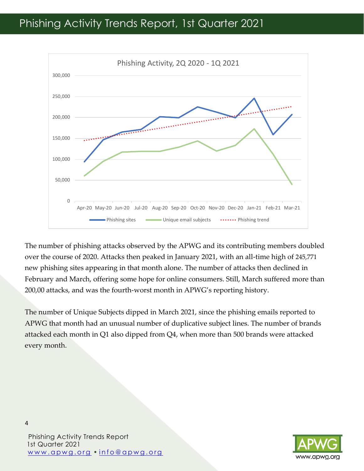

The number of phishing attacks observed by the APWG and its contributing members doubled over the course of 2020. Attacks then peaked in January 2021, with an all-time high of 245,771 new phishing sites appearing in that month alone. The number of attacks then declined in February and March, offering some hope for online consumers. Still, March suffered more than 200,00 attacks, and was the fourth-worst month in APWG's reporting history.

The number of Unique Subjects dipped in March 2021, since the phishing emails reported to APWG that month had an unusual number of duplicative subject lines. The number of brands attacked each month in Q1 also dipped from Q4, when more than 500 brands were attacked every month.



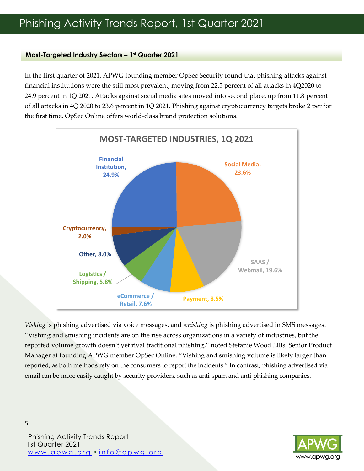#### **Most-Targeted Industry Sectors – 1st Quarter 2021**

In the first quarter of 2021, APWG founding member OpSec Security found that phishing attacks against financial institutions were the still most prevalent, moving from 22.5 percent of all attacks in 4Q2020 to 24.9 percent in 1Q 2021. Attacks against social media sites moved into second place, up from 11.8 percent of all attacks in 4Q 2020 to 23.6 percent in 1Q 2021. Phishing against cryptocurrency targets broke 2 per for the first time. OpSec Online offers world-class brand protection solutions.



*Vishing* is phishing advertised via voice messages, and *smishing* is phishing advertised in SMS messages. "Vishing and smishing incidents are on the rise across organizations in a variety of industries, but the reported volume growth doesn't yet rival traditional phishing," noted Stefanie Wood Ellis, Senior Product Manager at founding APWG member OpSec Online. "Vishing and smishing volume is likely larger than reported, as both methods rely on the consumers to report the incidents." In contrast, phishing advertised via email can be more easily caught by security providers, such as anti-spam and anti-phishing companies.

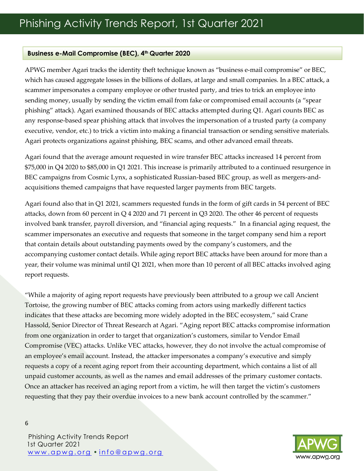#### **Business e-Mail Compromise (BEC), 4th Quarter 2020**

APWG member Agari tracks the identity theft technique known as "business e-mail compromise" or BEC, which has caused aggregate losses in the billions of dollars, at large and small companies. In a BEC attack, a scammer impersonates a company employee or other trusted party, and tries to trick an employee into sending money, usually by sending the victim email from fake or compromised email accounts (a "spear phishing" attack). Agari examined thousands of BEC attacks attempted during Q1. Agari counts BEC as any response-based spear phishing attack that involves the impersonation of a trusted party (a company executive, vendor, etc.) to trick a victim into making a financial transaction or sending sensitive materials. Agari protects organizations against phishing, BEC scams, and other advanced email threats.

Agari found that the average amount requested in wire transfer BEC attacks increased 14 percent from \$75,000 in Q4 2020 to \$85,000 in Q1 2021. This increase is primarily attributed to a continued resurgence in BEC campaigns from Cosmic Lynx, a sophisticated Russian-based BEC group, as well as mergers-andacquisitions themed campaigns that have requested larger payments from BEC targets.

Agari found also that in Q1 2021, scammers requested funds in the form of gift cards in 54 percent of BEC attacks, down from 60 percent in  $Q$  4 2020 and 71 percent in  $Q$ 3 2020. The other 46 percent of requests involved bank transfer, payroll diversion, and "financial aging requests." In a financial aging request, the scammer impersonates an executive and requests that someone in the target company send him a report that contain details about outstanding payments owed by the company's customers, and the accompanying customer contact details. While aging report BEC attacks have been around for more than a year, their volume was minimal until Q1 2021, when more than 10 percent of all BEC attacks involved aging report requests.

"While a majority of aging report requests have previously been attributed to a group we call Ancient Tortoise, the growing number of BEC attacks coming from actors using markedly different tactics indicates that these attacks are becoming more widely adopted in the BEC ecosystem," said Crane Hassold, Senior Director of Threat Research at Agari. "Aging report BEC attacks compromise information from one organization in order to target that organization's customers, similar to Vendor Email Compromise (VEC) attacks. Unlike VEC attacks, however, they do not involve the actual compromise of an employee's email account. Instead, the attacker impersonates a company's executive and simply requests a copy of a recent aging report from their accounting department, which contains a list of all unpaid customer accounts, as well as the names and email addresses of the primary customer contacts. Once an attacker has received an aging report from a victim, he will then target the victim's customers requesting that they pay their overdue invoices to a new bank account controlled by the scammer."

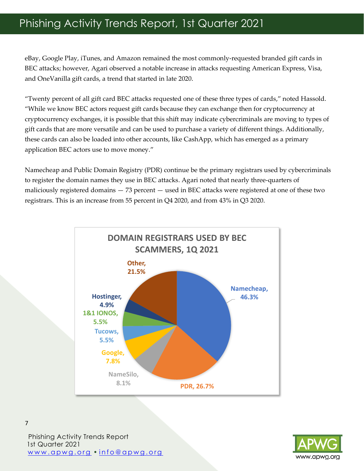eBay, Google Play, iTunes, and Amazon remained the most commonly-requested branded gift cards in BEC attacks; however, Agari observed a notable increase in attacks requesting American Express, Visa, and OneVanilla gift cards, a trend that started in late 2020.

"Twenty percent of all gift card BEC attacks requested one of these three types of cards," noted Hassold. "While we know BEC actors request gift cards because they can exchange then for cryptocurrency at cryptocurrency exchanges, it is possible that this shift may indicate cybercriminals are moving to types of gift cards that are more versatile and can be used to purchase a variety of different things. Additionally, these cards can also be loaded into other accounts, like CashApp, which has emerged as a primary application BEC actors use to move money."

Namecheap and Public Domain Registry (PDR) continue be the primary registrars used by cybercriminals to register the domain names they use in BEC attacks. Agari noted that nearly three-quarters of maliciously registered domains — 73 percent — used in BEC attacks were registered at one of these two registrars. This is an increase from 55 percent in Q4 2020, and from 43% in Q3 2020.





Phishing Activity Trends Report 1st Quarter 2021 [w w w . a p w g . o r g](http://www.apwg.org/) • [i n f o @ a p w g . o r g](mailto:info@apwg.org)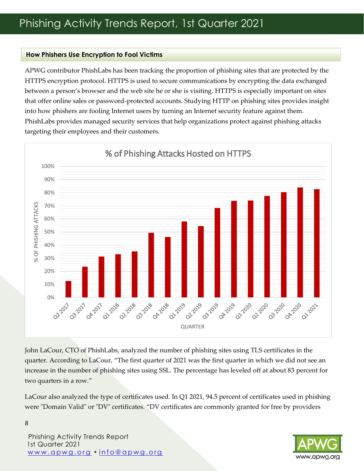#### **How Phishers Use Encryption to Fool Victims**

APWG contributor PhishLabs has been tracking the proportion of phishing sites that are protected by the HTTPS encryption protocol. HTTPS is used to secure communications by encrypting the data exchanged between a person's browser and the web site he or she is visiting. HTTPS is especially important on sites that offer online sales or password-protected accounts. Studying HTTP on phishing sites provides insight into how phishers are fooling Internet users by turning an Internet security feature against them. PhishLabs provides managed security services that help organizations protect against phishing attacks targeting their employees and their customers.



John LaCour, CTO of PhishLabs, analyzed the number of phishing sites using TLS certificates in the quarter. According to LaCour, "The first quarter of 2021 was the first quarter in which we did not see an increase in the number of phishing sites using SSL. The percentage has leveled off at about 83 percent for two quarters in a row."

LaCour also analyzed the type of certificates used. In Q1 2021, 94.5 percent of certificates used in phishing were "Domain Valid" or "DV" certificates. "DV certificates are commonly granted for free by providers

Phishing Activity Trends Report 1st Quarter 2021 [w w w . a p w g . o r g](http://www.apwg.org/) • [i n f o @ a p w g . o r g](mailto:info@apwg.org)

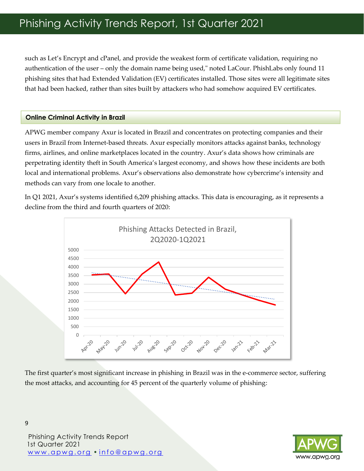such as Let's Encrypt and cPanel, and provide the weakest form of certificate validation, requiring no authentication of the user – only the domain name being used," noted LaCour. PhishLabs only found 11 phishing sites that had Extended Validation (EV) certificates installed. Those sites were all legitimate sites that had been hacked, rather than sites built by attackers who had somehow acquired EV certificates.

#### **Online Criminal Activity in Brazil**

APWG member company Axur is located in Brazil and concentrates on protecting companies and their users in Brazil from Internet-based threats. Axur especially monitors attacks against banks, technology firms, airlines, and online marketplaces located in the country. Axur's data shows how criminals are perpetrating identity theft in South America's largest economy, and shows how these incidents are both local and international problems. Axur's observations also demonstrate how cybercrime's intensity and methods can vary from one locale to another.

In Q1 2021, Axur's systems identified 6,209 phishing attacks. This data is encouraging, as it represents a decline from the third and fourth quarters of 2020:



The first quarter's most significant increase in phishing in Brazil was in the e-commerce sector, suffering the most attacks, and accounting for 45 percent of the quarterly volume of phishing:



Phishing Activity Trends Report 1st Quarter 2021 [w w w . a p w g . o r g](http://www.apwg.org/) • [i n f o @ a p w g . o r g](mailto:info@apwg.org)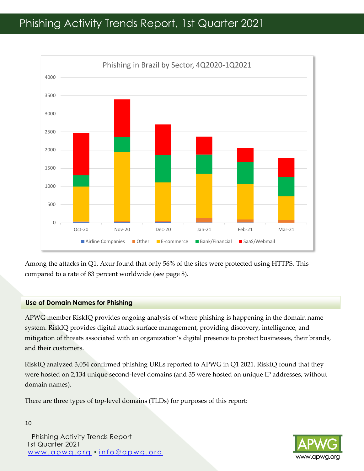

Among the attacks in Q1, Axur found that only 56% of the sites were protected using HTTPS. This compared to a rate of 83 percent worldwide (see page 8).

#### **Use of Domain Names for Phishing**

APWG member RiskIQ provides ongoing analysis of where phishing is happening in the domain name system. RiskIQ provides digital attack surface management, providing discovery, intelligence, and mitigation of threats associated with an organization's digital presence to protect businesses, their brands, and their customers.

RiskIQ analyzed 3,054 confirmed phishing URLs reported to APWG in Q1 2021. RiskIQ found that they were hosted on 2,134 unique second-level domains (and 35 were hosted on unique IP addresses, without domain names).

There are three types of top-level domains (TLDs) for purposes of this report:

Phishing Activity Trends Report 1st Quarter 2021 [w w w . a p w g . o r g](http://www.apwg.org/) • [i n f o @ a p w g . o r g](mailto:info@apwg.org)

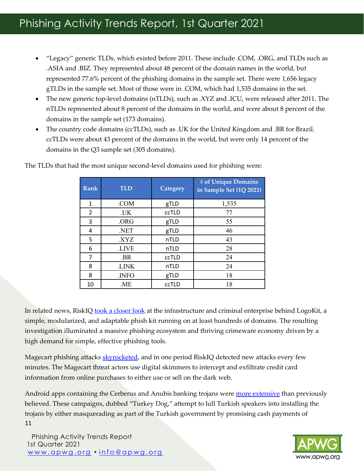- "Legacy" generic TLDs, which existed before 2011. These include .COM, .ORG, and TLDs such as .ASIA and .BIZ. They represented about 48 percent of the domain names in the world, but represented 77.6% percent of the phishing domains in the sample set. There were 1,656 legacy gTLDs in the sample set. Most of those were in .COM, which had 1,535 domains in the set.
- The new generic top-level domains (nTLDs), such as .XYZ and .ICU, were released after 2011. The nTLDs represented about 8 percent of the domains in the world, and were about 8 percent of the domains in the sample set (173 domains).
- The country code domains (ccTLDs), such as .UK for the United Kingdom and .BR for Brazil. ccTLDs were about 43 percent of the domains in the world, but were only 14 percent of the domains in the Q3 sample set (305 domains).

| <b>Rank</b> | <b>TLD</b>  | Category | # of Unique Domains<br>in Sample Set (1Q 2021) |
|-------------|-------------|----------|------------------------------------------------|
| 1           | .COM        | gTLD     | 1,535                                          |
| 2           | .UK         | ccTLD    | 77                                             |
| 3           | .ORG        | gTLD     | 55                                             |
| 4           | NET.        | gTLD     | 46                                             |
| 5           | <b>XYZ</b>  | nTLD     | 43                                             |
| 6           | <b>LIVE</b> | nTLD     | 28                                             |
| 7           | .BR         | ccTLD    | 24                                             |
| 8           | .LINK       | nTLD     | 24                                             |
| 8           | .INFO       | gTLD     | 18                                             |
| 10          | .ME         | ccTLD    | 18                                             |

The TLDs that had the most unique second-level domains used for phishing were:

In related news, RiskI[Q took a closer look](https://www.riskiq.com/blog/external-threat-management/logokit-business/) at the infrastructure and criminal enterprise behind LogoKit, a simple, modularized, and adaptable phish kit running on at least hundreds of domains. The resulting investigation illuminated a massive phishing ecosystem and thriving crimeware economy driven by a high demand for simple, effective phishing tools.

Magecart phishing attacks [skyrocketed,](https://www.riskiq.com/blog/labs/magecart-medialand/) and in one period RiskIQ detected new attacks every few minutes. The Magecart threat actors use digital skimmers to intercept and exfiltrate credit card information from online purchases to either use or sell on the dark web.

11 Android apps containing the Cerberus and Anubis banking trojans were [more extensive](https://www.riskiq.com/blog/external-threat-management/turkey-dog-covid-lures/) than previously believed. These campaigns, dubbed "Turkey Dog," attempt to lull Turkish speakers into installing the trojans by either masquerading as part of the Turkish government by promising cash payments of



Phishing Activity Trends Report 1st Quarter 2021 [w w w . a p w g . o r g](http://www.apwg.org/) • [i n f o @ a p w g . o r g](mailto:info@apwg.org)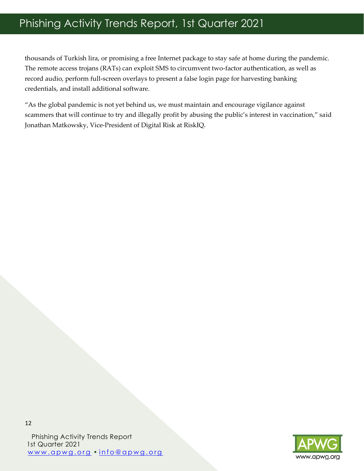thousands of Turkish lira, or promising a free Internet package to stay safe at home during the pandemic. The remote access trojans (RATs) can exploit SMS to circumvent two-factor authentication, as well as record audio, perform full-screen overlays to present a false login page for harvesting banking credentials, and install additional software.

"As the global pandemic is not yet behind us, we must maintain and encourage vigilance against scammers that will continue to try and illegally profit by abusing the public's interest in vaccination," said Jonathan Matkowsky, Vice-President of Digital Risk at RiskIQ.

Phishing Activity Trends Report 1st Quarter 2021 www.apwg.org • info@apwg.org